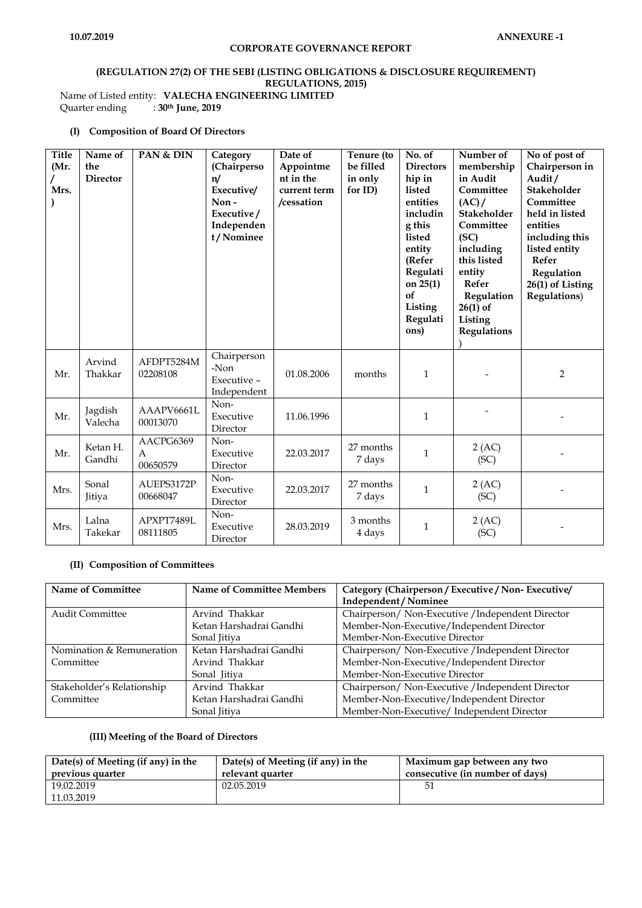# **(REGULATION 27(2) OF THE SEBI (LISTING OBLIGATIONS & DISCLOSURE REQUIREMENT) REGULATIONS, 2015)** Name of Listed entity: **VALECHA ENGINEERING LIMITED**<br>Quarter ending :  $30<sup>th</sup>$  June, 2019

Quarter ending : **30th June, 2019**

# **(I) Composition of Board Of Directors**

| <b>Title</b><br>(Mr.<br>Mrs. | Name of<br>the<br><b>Director</b> | PAN & DIN                               | Category<br>(Chairperso<br>n/<br>Executive/<br>Non-<br>Executive/<br>Independen<br>t/Nominee | Date of<br>Appointme<br>nt in the<br>current term<br>/cessation | Tenure (to<br>be filled<br>in only<br>for ID) | No. of<br><b>Directors</b><br>hip in<br>listed<br>entities<br>includin<br>g this<br>listed<br>entity<br>(Refer<br>Regulati<br>on $25(1)$<br>of<br>Listing<br>Regulati<br>ons) | Number of<br>membership<br>in Audit<br>Committee<br>(AC)<br>Stakeholder<br>Committee<br>(SC)<br>including<br>this listed<br>entity<br>Refer<br>Regulation<br>$26(1)$ of<br>Listing<br>Regulations | No of post of<br>Chairperson in<br>Audit/<br>Stakeholder<br>Committee<br>held in listed<br>entities<br>including this<br>listed entity<br>Refer<br>Regulation<br>26(1) of Listing<br><b>Regulations</b> ) |
|------------------------------|-----------------------------------|-----------------------------------------|----------------------------------------------------------------------------------------------|-----------------------------------------------------------------|-----------------------------------------------|-------------------------------------------------------------------------------------------------------------------------------------------------------------------------------|---------------------------------------------------------------------------------------------------------------------------------------------------------------------------------------------------|-----------------------------------------------------------------------------------------------------------------------------------------------------------------------------------------------------------|
| Mr.                          | Arvind<br>Thakkar                 | AFDPT5284M<br>02208108                  | Chairperson<br>-Non<br>Executive -<br>Independent                                            | 01.08.2006                                                      | months                                        | 1                                                                                                                                                                             |                                                                                                                                                                                                   | 2                                                                                                                                                                                                         |
| Mr.                          | Jagdish<br>Valecha                | AAAPV6661L<br>00013070                  | Non-<br>Executive<br>Director                                                                | 11.06.1996                                                      |                                               | $\mathbf{1}$                                                                                                                                                                  |                                                                                                                                                                                                   |                                                                                                                                                                                                           |
| Mr.                          | Ketan H.<br>Gandhi                | AACPG6369<br>$\overline{A}$<br>00650579 | Non-<br>Executive<br>Director                                                                | 22.03.2017                                                      | 27 months<br>7 days                           | $\mathbf{1}$                                                                                                                                                                  | 2 (AC)<br>(SC)                                                                                                                                                                                    |                                                                                                                                                                                                           |
| Mrs.                         | Sonal<br>Jitiya                   | AUEPS3172P<br>00668047                  | Non-<br>Executive<br>Director                                                                | 22.03.2017                                                      | 27 months<br>7 days                           | $\mathbf{1}$                                                                                                                                                                  | 2 (AC)<br>(SC)                                                                                                                                                                                    |                                                                                                                                                                                                           |
| Mrs.                         | Lalna<br>Takekar                  | APXPT7489L<br>08111805                  | Non-<br>Executive<br>Director                                                                | 28.03.2019                                                      | 3 months<br>4 days                            | $\mathbf{1}$                                                                                                                                                                  | 2 (AC)<br>(SC)                                                                                                                                                                                    |                                                                                                                                                                                                           |

#### **(II) Composition of Committees**

| <b>Name of Committee</b>   | <b>Name of Committee Members</b> | Category (Chairperson / Executive / Non-Executive/ |
|----------------------------|----------------------------------|----------------------------------------------------|
|                            |                                  | Independent / Nominee                              |
| <b>Audit Committee</b>     | Arvind Thakkar                   | Chairperson/ Non-Executive / Independent Director  |
|                            | Ketan Harshadrai Gandhi          | Member-Non-Executive/Independent Director          |
|                            | Sonal Jitiya                     | Member-Non-Executive Director                      |
| Nomination & Remuneration  | Ketan Harshadrai Gandhi          | Chairperson/ Non-Executive / Independent Director  |
| Committee                  | Arvind Thakkar                   | Member-Non-Executive/Independent Director          |
|                            | Sonal Jitiya                     | Member-Non-Executive Director                      |
| Stakeholder's Relationship | Arvind Thakkar                   | Chairperson/ Non-Executive / Independent Director  |
| Committee                  | Ketan Harshadrai Gandhi          | Member-Non-Executive/Independent Director          |
|                            | Sonal Jitiya                     | Member-Non-Executive/ Independent Director         |

#### **(III) Meeting of the Board of Directors**

| Date(s) of Meeting (if any) in the<br>previous quarter | Date(s) of Meeting (if any) in the<br>relevant quarter | Maximum gap between any two<br>consecutive (in number of days) |
|--------------------------------------------------------|--------------------------------------------------------|----------------------------------------------------------------|
| 19.02.2019                                             | 02.05.2019                                             |                                                                |
| 11.03.2019                                             |                                                        |                                                                |